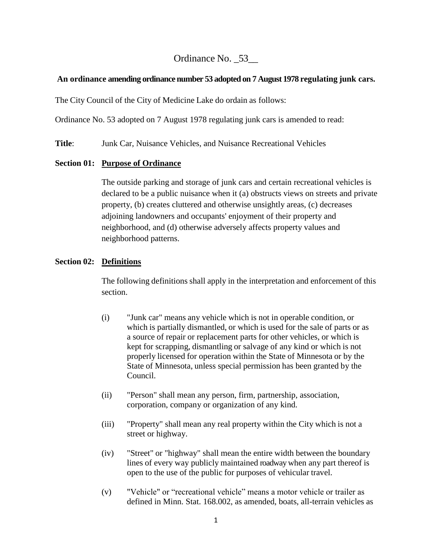# Ordinance No. \_53\_\_

### **An ordinance amending ordinance number 53 adopted on 7 August 1978 regulating junk cars.**

The City Council of the City of Medicine Lake do ordain as follows:

Ordinance No. 53 adopted on 7 August 1978 regulating junk cars is amended to read:

**Title**: Junk Car, Nuisance Vehicles, and Nuisance Recreational Vehicles

### **Section 01: Purpose of Ordinance**

The outside parking and storage of junk cars and certain recreational vehicles is declared to be a public nuisance when it (a) obstructs views on streets and private property, (b) creates cluttered and otherwise unsightly areas, (c) decreases adjoining landowners and occupants' enjoyment of their property and neighborhood, and (d) otherwise adversely affects property values and neighborhood patterns.

## **Section 02: Definitions**

The following definitions shall apply in the interpretation and enforcement of this section.

- (i) "Junk car" means any vehicle which is not in operable condition, or which is partially dismantled, or which is used for the sale of parts or as a source of repair or replacement parts for other vehicles, or which is kept for scrapping, dismantling or salvage of any kind or which is not properly licensed for operation within the State of Minnesota or by the State of Minnesota, unless special permission has been granted by the Council.
- (ii) "Person" shall mean any person, firm, partnership, association, corporation, company or organization of any kind.
- (iii) "Property" shall mean any real property within the City which is not a street or highway.
- (iv) "Street" or "highway" shall mean the entire width between the boundary lines of every way publicly maintained roadway when any part thereof is open to the use of the public for purposes of vehicular travel.
- (v) "Vehicle" or "recreational vehicle" means a motor vehicle or trailer as defined in Minn. Stat. 168.002, as amended, boats, all-terrain vehicles as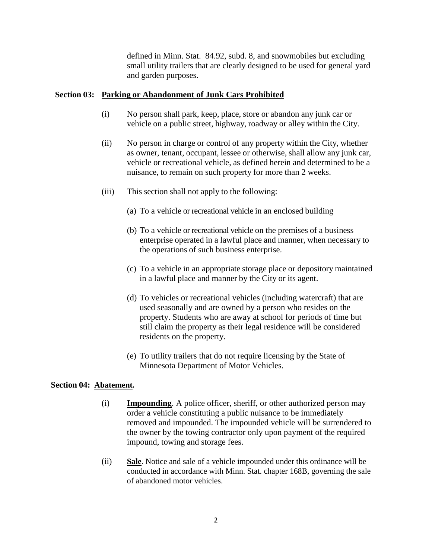defined in Minn. Stat. 84.92, subd. 8, and snowmobiles but excluding small utility trailers that are clearly designed to be used for general yard and garden purposes.

#### **Section 03: Parking or Abandonment of Junk Cars Prohibited**

- (i) No person shall park, keep, place, store or abandon any junk car or vehicle on a public street, highway, roadway or alley within the City.
- (ii) No person in charge or control of any property within the City, whether as owner, tenant, occupant, lessee or otherwise, shall allow any junk car, vehicle or recreational vehicle, as defined herein and determined to be a nuisance, to remain on such property for more than 2 weeks.
- (iii) This section shall not apply to the following:
	- (a) To a vehicle or recreational vehicle in an enclosed building
	- (b) To a vehicle or recreational vehicle on the premises of a business enterprise operated in a lawful place and manner, when necessary to the operations of such business enterprise.
	- (c) To a vehicle in an appropriate storage place or depository maintained in a lawful place and manner by the City or its agent.
	- (d) To vehicles or recreational vehicles (including watercraft) that are used seasonally and are owned by a person who resides on the property. Students who are away at school for periods of time but still claim the property as their legal residence will be considered residents on the property.
	- (e) To utility trailers that do not require licensing by the State of Minnesota Department of Motor Vehicles.

#### **Section 04: Abatement.**

- (i) **Impounding**. A police officer, sheriff, or other authorized person may order a vehicle constituting a public nuisance to be immediately removed and impounded. The impounded vehicle will be surrendered to the owner by the towing contractor only upon payment of the required impound, towing and storage fees.
- (ii) **Sale**. Notice and sale of a vehicle impounded under this ordinance will be conducted in accordance with Minn. Stat. chapter 168B, governing the sale of abandoned motor vehicles.